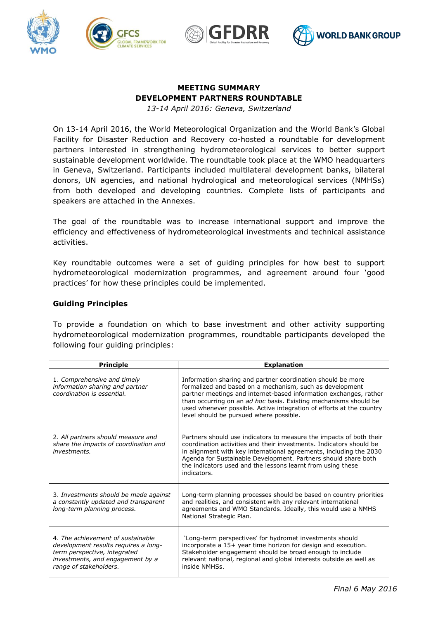





# **MEETING SUMMARY DEVELOPMENT PARTNERS ROUNDTABLE**

*13-14 April 2016: Geneva, Switzerland*

On 13-14 April 2016, the World Meteorological Organization and the World Bank's Global Facility for Disaster Reduction and Recovery co-hosted a roundtable for development partners interested in strengthening hydrometeorological services to better support sustainable development worldwide. The roundtable took place at the WMO headquarters in Geneva, Switzerland. Participants included multilateral development banks, bilateral donors, UN agencies, and national hydrological and meteorological services (NMHSs) from both developed and developing countries. Complete lists of participants and speakers are attached in the Annexes.

The goal of the roundtable was to increase international support and improve the efficiency and effectiveness of hydrometeorological investments and technical assistance activities.

Key roundtable outcomes were a set of guiding principles for how best to support hydrometeorological modernization programmes, and agreement around four 'good practices' for how these principles could be implemented.

## **Guiding Principles**

To provide a foundation on which to base investment and other activity supporting hydrometeorological modernization programmes, roundtable participants developed the following four guiding principles:

| <b>Principle</b>                                                                                                                                                        | <b>Explanation</b>                                                                                                                                                                                                                                                                                                                                                                  |
|-------------------------------------------------------------------------------------------------------------------------------------------------------------------------|-------------------------------------------------------------------------------------------------------------------------------------------------------------------------------------------------------------------------------------------------------------------------------------------------------------------------------------------------------------------------------------|
| 1. Comprehensive and timely<br>information sharing and partner<br>coordination is essential.                                                                            | Information sharing and partner coordination should be more<br>formalized and based on a mechanism, such as development<br>partner meetings and internet-based information exchanges, rather<br>than occurring on an ad hoc basis. Existing mechanisms should be<br>used whenever possible. Active integration of efforts at the country<br>level should be pursued where possible. |
| 2. All partners should measure and<br>share the impacts of coordination and<br><i>investments.</i>                                                                      | Partners should use indicators to measure the impacts of both their<br>coordination activities and their investments. Indicators should be<br>in alignment with key international agreements, including the 2030<br>Agenda for Sustainable Development. Partners should share both<br>the indicators used and the lessons learnt from using these<br>indicators.                    |
| 3. Investments should be made against<br>a constantly updated and transparent<br>long-term planning process.                                                            | Long-term planning processes should be based on country priorities<br>and realities, and consistent with any relevant international<br>agreements and WMO Standards. Ideally, this would use a NMHS<br>National Strategic Plan.                                                                                                                                                     |
| 4. The achievement of sustainable<br>development results requires a long-<br>term perspective, integrated<br>investments, and engagement by a<br>range of stakeholders. | 'Long-term perspectives' for hydromet investments should<br>incorporate a 15+ year time horizon for design and execution.<br>Stakeholder engagement should be broad enough to include<br>relevant national, regional and global interests outside as well as<br>inside NMHSs.                                                                                                       |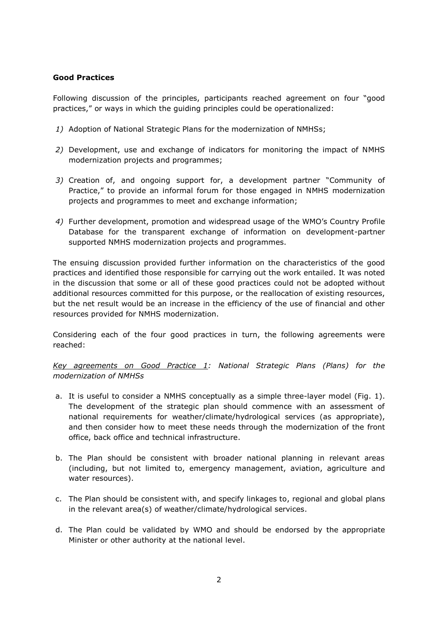## **Good Practices**

Following discussion of the principles, participants reached agreement on four "good practices," or ways in which the guiding principles could be operationalized:

- *1)* Adoption of National Strategic Plans for the modernization of NMHSs;
- *2)* Development, use and exchange of indicators for monitoring the impact of NMHS modernization projects and programmes;
- *3)* Creation of, and ongoing support for, a development partner "Community of Practice," to provide an informal forum for those engaged in NMHS modernization projects and programmes to meet and exchange information;
- *4)* Further development, promotion and widespread usage of the WMO's Country Profile Database for the transparent exchange of information on development-partner supported NMHS modernization projects and programmes.

The ensuing discussion provided further information on the characteristics of the good practices and identified those responsible for carrying out the work entailed. It was noted in the discussion that some or all of these good practices could not be adopted without additional resources committed for this purpose, or the reallocation of existing resources, but the net result would be an increase in the efficiency of the use of financial and other resources provided for NMHS modernization.

Considering each of the four good practices in turn, the following agreements were reached:

*Key agreements on Good Practice 1: National Strategic Plans (Plans) for the modernization of NMHSs*

- a. It is useful to consider a NMHS conceptually as a simple three-layer model (Fig. 1). The development of the strategic plan should commence with an assessment of national requirements for weather/climate/hydrological services (as appropriate), and then consider how to meet these needs through the modernization of the front office, back office and technical infrastructure.
- b. The Plan should be consistent with broader national planning in relevant areas (including, but not limited to, emergency management, aviation, agriculture and water resources).
- c. The Plan should be consistent with, and specify linkages to, regional and global plans in the relevant area(s) of weather/climate/hydrological services.
- d. The Plan could be validated by WMO and should be endorsed by the appropriate Minister or other authority at the national level.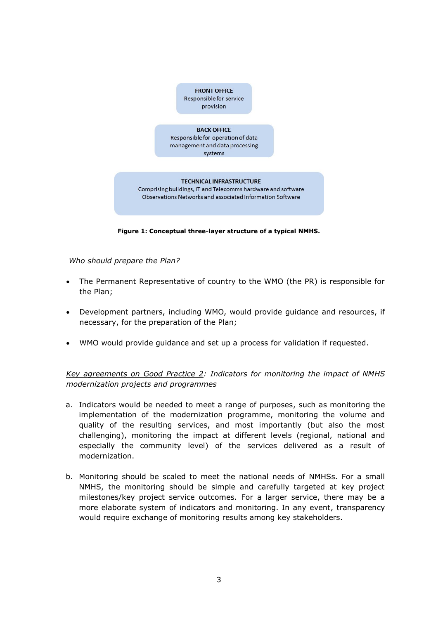

**Figure 1: Conceptual three-layer structure of a typical NMHS.**

*Who should prepare the Plan?*

- The Permanent Representative of country to the WMO (the PR) is responsible for the Plan;
- Development partners, including WMO, would provide guidance and resources, if necessary, for the preparation of the Plan;
- WMO would provide guidance and set up a process for validation if requested.

*Key agreements on Good Practice 2: Indicators for monitoring the impact of NMHS modernization projects and programmes*

- a. Indicators would be needed to meet a range of purposes, such as monitoring the implementation of the modernization programme, monitoring the volume and quality of the resulting services, and most importantly (but also the most challenging), monitoring the impact at different levels (regional, national and especially the community level) of the services delivered as a result of modernization.
- b. Monitoring should be scaled to meet the national needs of NMHSs. For a small NMHS, the monitoring should be simple and carefully targeted at key project milestones/key project service outcomes. For a larger service, there may be a more elaborate system of indicators and monitoring. In any event, transparency would require exchange of monitoring results among key stakeholders.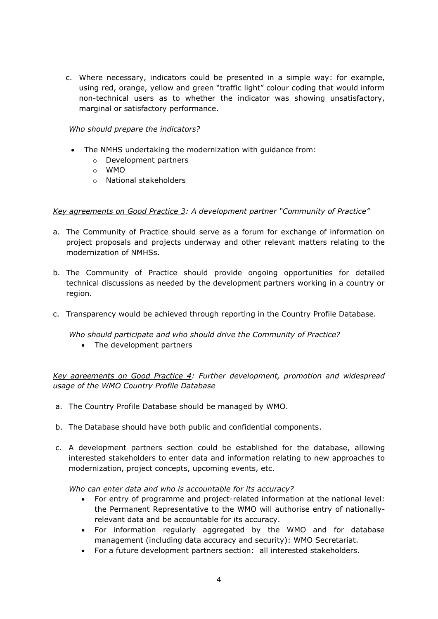c. Where necessary, indicators could be presented in a simple way: for example, using red, orange, yellow and green "traffic light" colour coding that would inform non-technical users as to whether the indicator was showing unsatisfactory, marginal or satisfactory performance.

## *Who should prepare the indicators?*

- The NMHS undertaking the modernization with guidance from:
	- o Development partners
	- o WMO
	- o National stakeholders

## *Key agreements on Good Practice 3: A development partner "Community of Practice"*

- a. The Community of Practice should serve as a forum for exchange of information on project proposals and projects underway and other relevant matters relating to the modernization of NMHSs.
- b. The Community of Practice should provide ongoing opportunities for detailed technical discussions as needed by the development partners working in a country or region.
- c. Transparency would be achieved through reporting in the Country Profile Database.

*Who should participate and who should drive the Community of Practice?*

• The development partners

*Key agreements on Good Practice 4: Further development, promotion and widespread usage of the WMO Country Profile Database*

- a. The Country Profile Database should be managed by WMO.
- b. The Database should have both public and confidential components.
- c. A development partners section could be established for the database, allowing interested stakeholders to enter data and information relating to new approaches to modernization, project concepts, upcoming events, etc.

*Who can enter data and who is accountable for its accuracy?* 

- For entry of programme and project-related information at the national level: the Permanent Representative to the WMO will authorise entry of nationallyrelevant data and be accountable for its accuracy.
- For information regularly aggregated by the WMO and for database management (including data accuracy and security): WMO Secretariat.
- For a future development partners section: all interested stakeholders.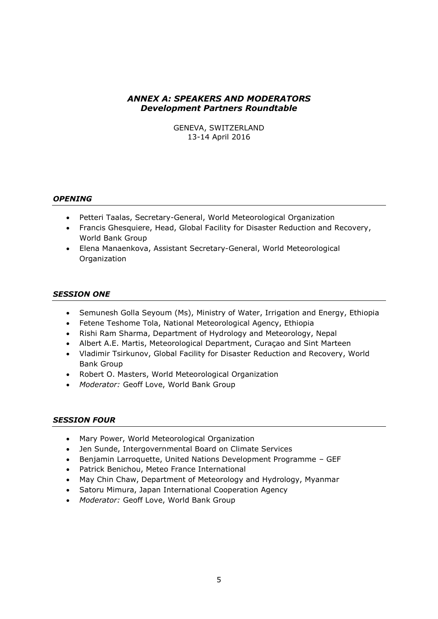## *ANNEX A: SPEAKERS AND MODERATORS Development Partners Roundtable*

GENEVA, SWITZERLAND 13-14 April 2016

### *OPENING*

- Petteri Taalas, Secretary-General, World Meteorological Organization
- Francis Ghesquiere, Head, Global Facility for Disaster Reduction and Recovery, World Bank Group
- Elena Manaenkova, Assistant Secretary-General, World Meteorological Organization

### *SESSION ONE*

- Semunesh Golla Seyoum (Ms), Ministry of Water, Irrigation and Energy, Ethiopia
- Fetene Teshome Tola, National Meteorological Agency, Ethiopia
- Rishi Ram Sharma, Department of Hydrology and Meteorology, Nepal
- Albert A.E. Martis, Meteorological Department, Curaçao and Sint Marteen
- Vladimir Tsirkunov, Global Facility for Disaster Reduction and Recovery, World Bank Group
- Robert O. Masters, World Meteorological Organization
- *Moderator:* Geoff Love, World Bank Group

### *SESSION FOUR*

- Mary Power, World Meteorological Organization
- Jen Sunde, Intergovernmental Board on Climate Services
- Benjamin Larroquette, United Nations Development Programme GEF
- Patrick Benichou, Meteo France International
- May Chin Chaw, Department of Meteorology and Hydrology, Myanmar
- Satoru Mimura, Japan International Cooperation Agency
- *Moderator:* Geoff Love, World Bank Group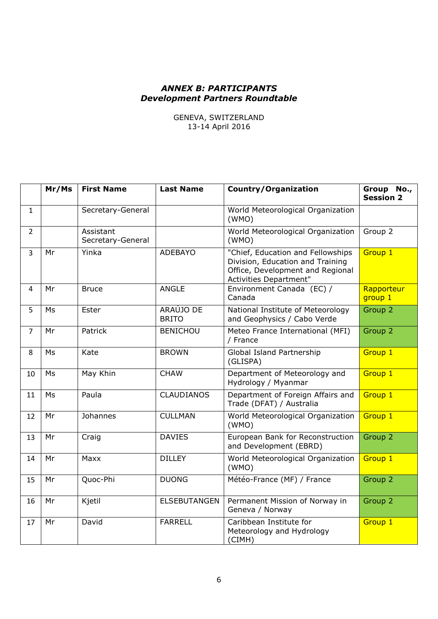## *ANNEX B: PARTICIPANTS Development Partners Roundtable*

GENEVA, SWITZERLAND 13-14 April 2016

|                | Mr/Ms | <b>First Name</b>              | <b>Last Name</b>          | <b>Country/Organization</b>                                                                                                                | Group No.,<br><b>Session 2</b>   |
|----------------|-------|--------------------------------|---------------------------|--------------------------------------------------------------------------------------------------------------------------------------------|----------------------------------|
| $\mathbf{1}$   |       | Secretary-General              |                           | World Meteorological Organization<br>(WMO)                                                                                                 |                                  |
| $\overline{2}$ |       | Assistant<br>Secretary-General |                           | World Meteorological Organization<br>(WMO)                                                                                                 | Group 2                          |
| $\overline{3}$ | Mr    | Yinka                          | <b>ADEBAYO</b>            | "Chief, Education and Fellowships<br>Division, Education and Training<br>Office, Development and Regional<br><b>Activities Department"</b> | Group 1                          |
| 4              | Mr    | <b>Bruce</b>                   | <b>ANGLE</b>              | Environment Canada (EC) /<br>Canada                                                                                                        | Rapporteur<br>group <sub>1</sub> |
| 5              | Ms    | Ester                          | ARAÚJO DE<br><b>BRITO</b> | National Institute of Meteorology<br>and Geophysics / Cabo Verde                                                                           | Group 2                          |
| $\overline{7}$ | Mr    | Patrick                        | <b>BENICHOU</b>           | Meteo France International (MFI)<br>/ France                                                                                               | Group 2                          |
| 8              | Ms    | Kate                           | <b>BROWN</b>              | Global Island Partnership<br>(GLISPA)                                                                                                      | Group 1                          |
| 10             | Ms    | May Khin                       | <b>CHAW</b>               | Department of Meteorology and<br>Hydrology / Myanmar                                                                                       | Group 1                          |
| 11             | Ms    | Paula                          | <b>CLAUDIANOS</b>         | Department of Foreign Affairs and<br>Trade (DFAT) / Australia                                                                              | Group 1                          |
| 12             | Mr    | Johannes                       | <b>CULLMAN</b>            | World Meteorological Organization<br>(WMO)                                                                                                 | Group 1                          |
| 13             | Mr    | Craig                          | <b>DAVIES</b>             | European Bank for Reconstruction<br>and Development (EBRD)                                                                                 | Group 2                          |
| 14             | Mr    | Maxx                           | <b>DILLEY</b>             | World Meteorological Organization<br>(WMO)                                                                                                 | Group 1                          |
| 15             | Mr    | Quoc-Phi                       | <b>DUONG</b>              | Météo-France (MF) / France                                                                                                                 | Group 2                          |
| 16             | Mr    | Kjetil                         | <b>ELSEBUTANGEN</b>       | Permanent Mission of Norway in<br>Geneva / Norway                                                                                          | Group 2                          |
| 17             | Mr    | David                          | <b>FARRELL</b>            | Caribbean Institute for<br>Meteorology and Hydrology<br>(CIMH)                                                                             | Group 1                          |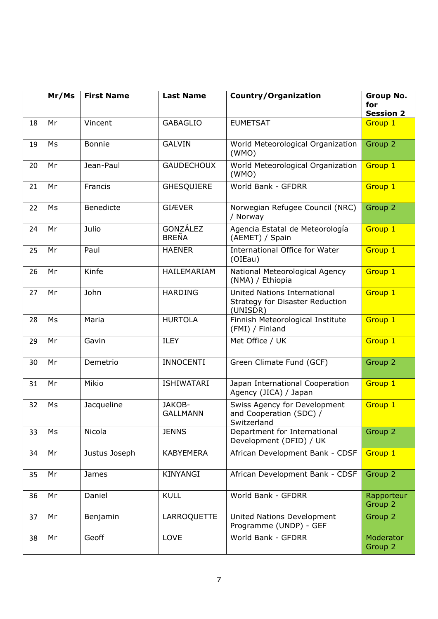|    | Mr/Ms | <b>First Name</b> | <b>Last Name</b>                | <b>Country/Organization</b>                                                 | <b>Group No.</b><br>for<br><b>Session 2</b> |
|----|-------|-------------------|---------------------------------|-----------------------------------------------------------------------------|---------------------------------------------|
| 18 | Mr    | Vincent           | <b>GABAGLIO</b>                 | <b>EUMETSAT</b>                                                             | Group 1                                     |
| 19 | Ms    | <b>Bonnie</b>     | <b>GALVIN</b>                   | World Meteorological Organization<br>(WMO)                                  | Group 2                                     |
| 20 | Mr    | Jean-Paul         | <b>GAUDECHOUX</b>               | World Meteorological Organization<br>(WMO)                                  | Group 1                                     |
| 21 | Mr    | Francis           | <b>GHESQUIERE</b>               | World Bank - GFDRR                                                          | Group 1                                     |
| 22 | Ms    | Benedicte         | <b>GIÆVER</b>                   | Norwegian Refugee Council (NRC)<br>/ Norway                                 | Group 2                                     |
| 24 | Mr    | Julio             | <b>GONZÁLEZ</b><br><b>BREÑA</b> | Agencia Estatal de Meteorología<br>(AEMET) / Spain                          | Group 1                                     |
| 25 | Mr    | Paul              | <b>HAENER</b>                   | International Office for Water<br>(OIEau)                                   | Group 1                                     |
| 26 | Mr    | Kinfe             | <b>HAILEMARIAM</b>              | National Meteorological Agency<br>(NMA) / Ethiopia                          | Group 1                                     |
| 27 | Mr    | John              | <b>HARDING</b>                  | United Nations International<br>Strategy for Disaster Reduction<br>(UNISDR) | Group 1                                     |
| 28 | Ms    | Maria             | <b>HURTOLA</b>                  | Finnish Meteorological Institute<br>(FMI) / Finland                         | Group 1                                     |
| 29 | Mr    | Gavin             | <b>ILEY</b>                     | Met Office / UK                                                             | Group 1                                     |
| 30 | Mr    | Demetrio          | <b>INNOCENTI</b>                | Green Climate Fund (GCF)                                                    | Group 2                                     |
| 31 | Mr    | Mikio             | <b>ISHIWATARI</b>               | Japan International Cooperation<br>Agency (JICA) / Japan                    | Group 1                                     |
| 32 | Ms    | Jacqueline        | JAKOB-<br><b>GALLMANN</b>       | Swiss Agency for Development<br>and Cooperation (SDC) /<br>Switzerland      | Group 1                                     |
| 33 | Ms    | Nicola            | <b>JENNS</b>                    | Department for International<br>Development (DFID) / UK                     | Group 2                                     |
| 34 | Mr    | Justus Joseph     | <b>KABYEMERA</b>                | African Development Bank - CDSF                                             | Group 1                                     |
| 35 | Mr    | <b>James</b>      | KINYANGI                        | African Development Bank - CDSF                                             | Group 2                                     |
| 36 | Mr    | Daniel            | <b>KULL</b>                     | World Bank - GFDRR                                                          | Rapporteur<br>Group 2                       |
| 37 | Mr    | Benjamin          | LARROQUETTE                     | United Nations Development<br>Programme (UNDP) - GEF                        | Group 2                                     |
| 38 | Mr    | Geoff             | LOVE                            | World Bank - GFDRR                                                          | Moderator<br>Group 2                        |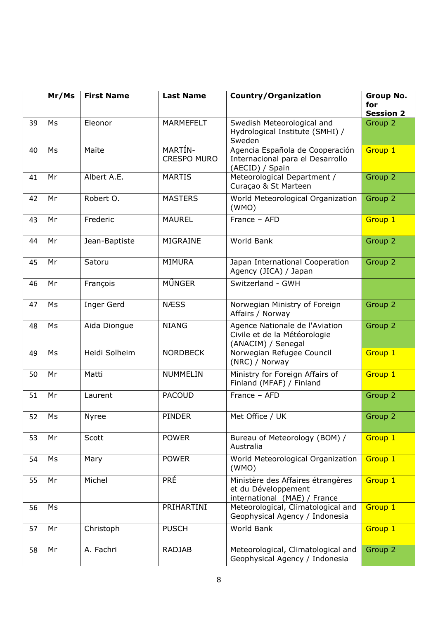|    | Mr/Ms | <b>First Name</b> | <b>Last Name</b>              | <b>Country/Organization</b>                                                              | <b>Group No.</b><br>for<br><b>Session 2</b> |
|----|-------|-------------------|-------------------------------|------------------------------------------------------------------------------------------|---------------------------------------------|
| 39 | Ms    | Eleonor           | <b>MARMEFELT</b>              | Swedish Meteorological and<br>Hydrological Institute (SMHI) /<br>Sweden                  | Group 2                                     |
| 40 | Ms    | Maite             | MARTÍN-<br><b>CRESPO MURO</b> | Agencia Española de Cooperación<br>Internacional para el Desarrollo<br>(AECID) / Spain   | Group 1                                     |
| 41 | Mr    | Albert A.E.       | <b>MARTIS</b>                 | Meteorological Department /<br>Curaçao & St Marteen                                      | Group <sub>2</sub>                          |
| 42 | Mr    | Robert O.         | <b>MASTERS</b>                | World Meteorological Organization<br>(WMO)                                               | Group 2                                     |
| 43 | Mr    | Frederic          | <b>MAUREL</b>                 | France - AFD                                                                             | Group 1                                     |
| 44 | Mr    | Jean-Baptiste     | MIGRAINE                      | World Bank                                                                               | Group 2                                     |
| 45 | Mr    | Satoru            | <b>MIMURA</b>                 | Japan International Cooperation<br>Agency (JICA) / Japan                                 | Group 2                                     |
| 46 | Mr    | François          | MŰNGER                        | Switzerland - GWH                                                                        |                                             |
| 47 | Ms    | Inger Gerd        | <b>NÆSS</b>                   | Norwegian Ministry of Foreign<br>Affairs / Norway                                        | Group 2                                     |
| 48 | Ms    | Aida Diongue      | <b>NIANG</b>                  | Agence Nationale de l'Aviation<br>Civile et de la Météorologie<br>(ANACIM) / Senegal     | Group 2                                     |
| 49 | Ms    | Heidi Solheim     | <b>NORDBECK</b>               | Norwegian Refugee Council<br>(NRC) / Norway                                              | Group 1                                     |
| 50 | Mr    | Matti             | NUMMELIN                      | Ministry for Foreign Affairs of<br>Finland (MFAF) / Finland                              | Group 1                                     |
| 51 | Mr    | Laurent           | <b>PACOUD</b>                 | France - AFD                                                                             | Group 2                                     |
| 52 | Ms    | <b>Nyree</b>      | <b>PINDER</b>                 | Met Office / UK                                                                          | Group 2                                     |
| 53 | Mr    | Scott             | <b>POWER</b>                  | Bureau of Meteorology (BOM) /<br>Australia                                               | Group 1                                     |
| 54 | Ms    | Mary              | <b>POWER</b>                  | World Meteorological Organization<br>(WMO)                                               | Group 1                                     |
| 55 | Mr    | Michel            | <b>PRÉ</b>                    | Ministère des Affaires étrangères<br>et du Développement<br>international (MAE) / France | Group 1                                     |
| 56 | Ms    |                   | PRIHARTINI                    | Meteorological, Climatological and<br>Geophysical Agency / Indonesia                     | Group 1                                     |
| 57 | Mr    | Christoph         | <b>PUSCH</b>                  | <b>World Bank</b>                                                                        | Group 1                                     |
| 58 | Mr    | A. Fachri         | <b>RADJAB</b>                 | Meteorological, Climatological and<br>Geophysical Agency / Indonesia                     | Group 2                                     |